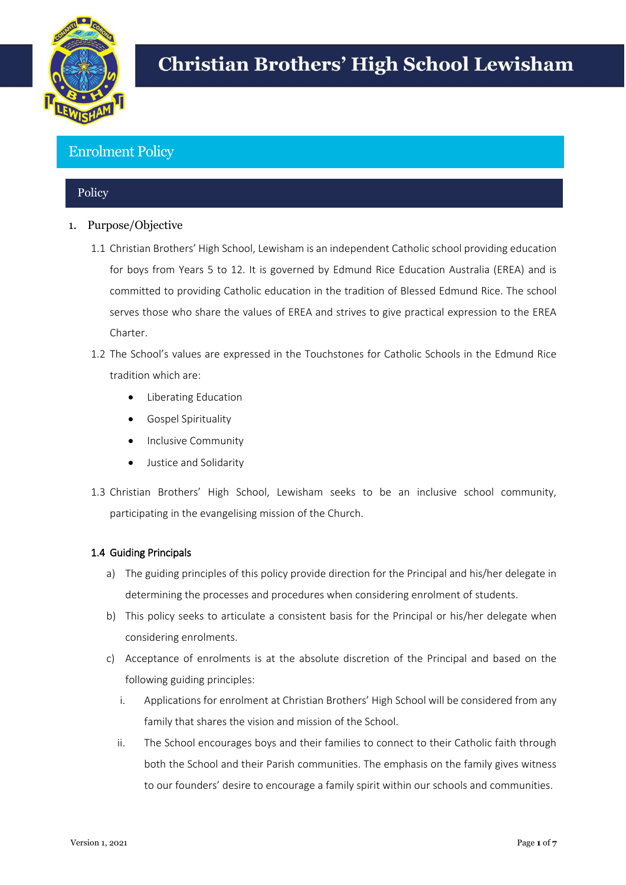

# **Christian Brothers' High School Lewisham**

# Enrolment Policy

# **Policy**

- 1. Purpose/Objective
	- 1.1 Christian Brothers' High School, Lewisham is an independent Catholic school providing education for boys from Years 5 to 12. It is governed by Edmund Rice Education Australia (EREA) and is committed to providing Catholic education in the tradition of Blessed Edmund Rice. The school serves those who share the values of EREA and strives to give practical expression to the EREA Charter.
	- 1.2 The School's values are expressed in the Touchstones for Catholic Schools in the Edmund Rice tradition which are:
		- Liberating Education
		- Gospel Spirituality
		- Inclusive Community
		- Justice and Solidarity
	- 1.3 Christian Brothers' High School, Lewisham seeks to be an inclusive school community, participating in the evangelising mission of the Church.

# 1.4 Guiding Principals

- a) The guiding principles of this policy provide direction for the Principal and his/her delegate in determining the processes and procedures when considering enrolment of students.
- b) This policy seeks to articulate a consistent basis for the Principal or his/her delegate when considering enrolments.
- c) Acceptance of enrolments is at the absolute discretion of the Principal and based on the following guiding principles:
	- i. Applications for enrolment at Christian Brothers' High School will be considered from any family that shares the vision and mission of the School.
	- ii. The School encourages boys and their families to connect to their Catholic faith through both the School and their Parish communities. The emphasis on the family gives witness to our founders' desire to encourage a family spirit within our schools and communities.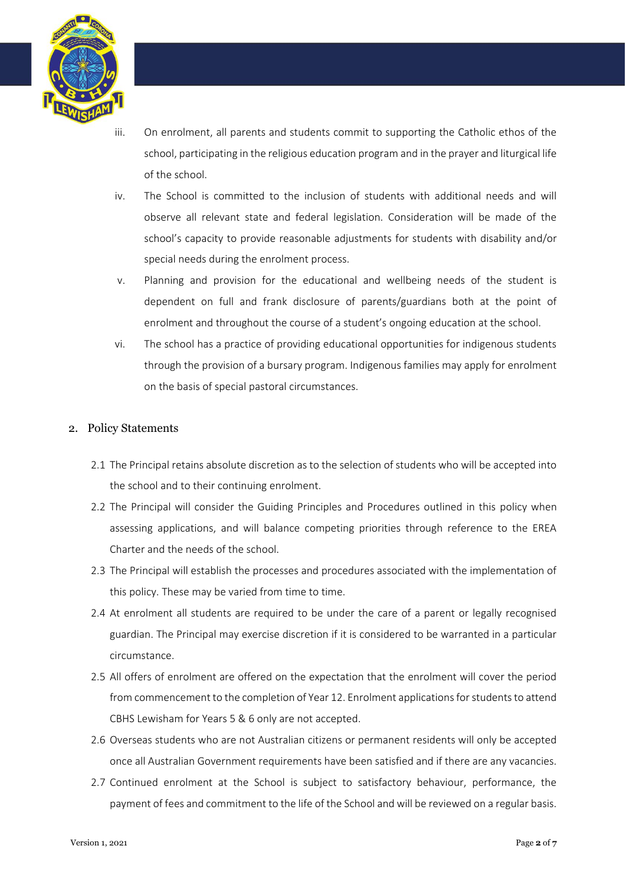

- iii. On enrolment, all parents and students commit to supporting the Catholic ethos of the school, participating in the religious education program and in the prayer and liturgical life of the school.
- iv. The School is committed to the inclusion of students with additional needs and will observe all relevant state and federal legislation. Consideration will be made of the school's capacity to provide reasonable adjustments for students with disability and/or special needs during the enrolment process.
- v. Planning and provision for the educational and wellbeing needs of the student is dependent on full and frank disclosure of parents/guardians both at the point of enrolment and throughout the course of a student's ongoing education at the school.
- vi. The school has a practice of providing educational opportunities for indigenous students through the provision of a bursary program. Indigenous families may apply for enrolment on the basis of special pastoral circumstances.

# 2. Policy Statements

- 2.1 The Principal retains absolute discretion as to the selection of students who will be accepted into the school and to their continuing enrolment.
- 2.2 The Principal will consider the Guiding Principles and Procedures outlined in this policy when assessing applications, and will balance competing priorities through reference to the EREA Charter and the needs of the school.
- 2.3 The Principal will establish the processes and procedures associated with the implementation of this policy. These may be varied from time to time.
- 2.4 At enrolment all students are required to be under the care of a parent or legally recognised guardian. The Principal may exercise discretion if it is considered to be warranted in a particular circumstance.
- 2.5 All offers of enrolment are offered on the expectation that the enrolment will cover the period from commencement to the completion of Year 12. Enrolment applications for students to attend CBHS Lewisham for Years 5 & 6 only are not accepted.
- 2.6 Overseas students who are not Australian citizens or permanent residents will only be accepted once all Australian Government requirements have been satisfied and if there are any vacancies.
- 2.7 Continued enrolment at the School is subject to satisfactory behaviour, performance, the payment of fees and commitment to the life of the School and will be reviewed on a regular basis.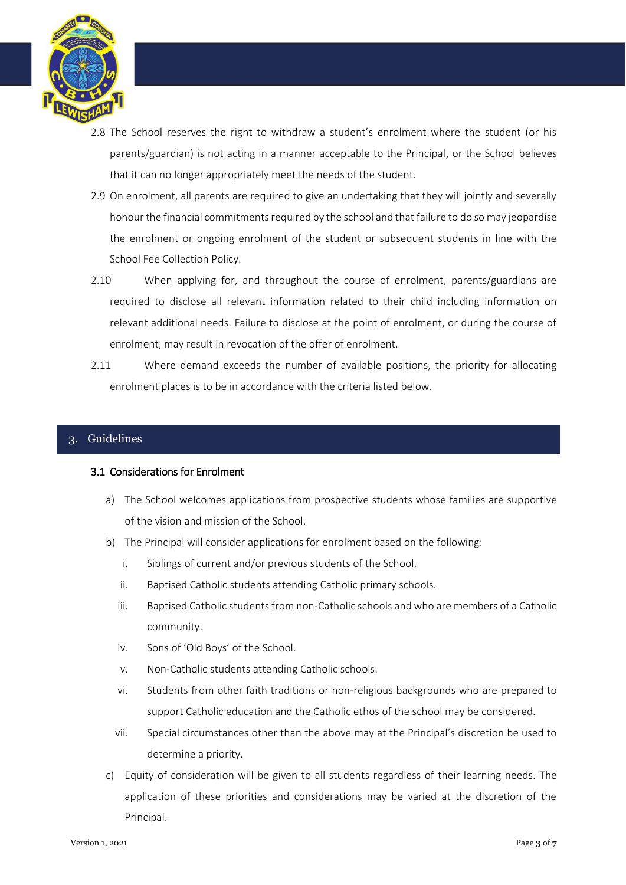

- 2.8 The School reserves the right to withdraw a student's enrolment where the student (or his parents/guardian) is not acting in a manner acceptable to the Principal, or the School believes that it can no longer appropriately meet the needs of the student.
- 2.9 On enrolment, all parents are required to give an undertaking that they will jointly and severally honour the financial commitments required by the school and that failure to do so may jeopardise the enrolment or ongoing enrolment of the student or subsequent students in line with the School Fee Collection Policy.
- 2.10 When applying for, and throughout the course of enrolment, parents/guardians are required to disclose all relevant information related to their child including information on relevant additional needs. Failure to disclose at the point of enrolment, or during the course of enrolment, may result in revocation of the offer of enrolment.
- 2.11 Where demand exceeds the number of available positions, the priority for allocating enrolment places is to be in accordance with the criteria listed below.

# 3. Guidelines

#### 3.1 Considerations for Enrolment

- a) The School welcomes applications from prospective students whose families are supportive of the vision and mission of the School.
- b) The Principal will consider applications for enrolment based on the following:
	- i. Siblings of current and/or previous students of the School.
	- ii. Baptised Catholic students attending Catholic primary schools.
	- iii. Baptised Catholic students from non-Catholic schools and who are members of a Catholic community.
	- iv. Sons of 'Old Boys' of the School.
	- v. Non-Catholic students attending Catholic schools.
	- vi. Students from other faith traditions or non-religious backgrounds who are prepared to support Catholic education and the Catholic ethos of the school may be considered.
	- vii. Special circumstances other than the above may at the Principal's discretion be used to determine a priority.
- c) Equity of consideration will be given to all students regardless of their learning needs. The application of these priorities and considerations may be varied at the discretion of the Principal.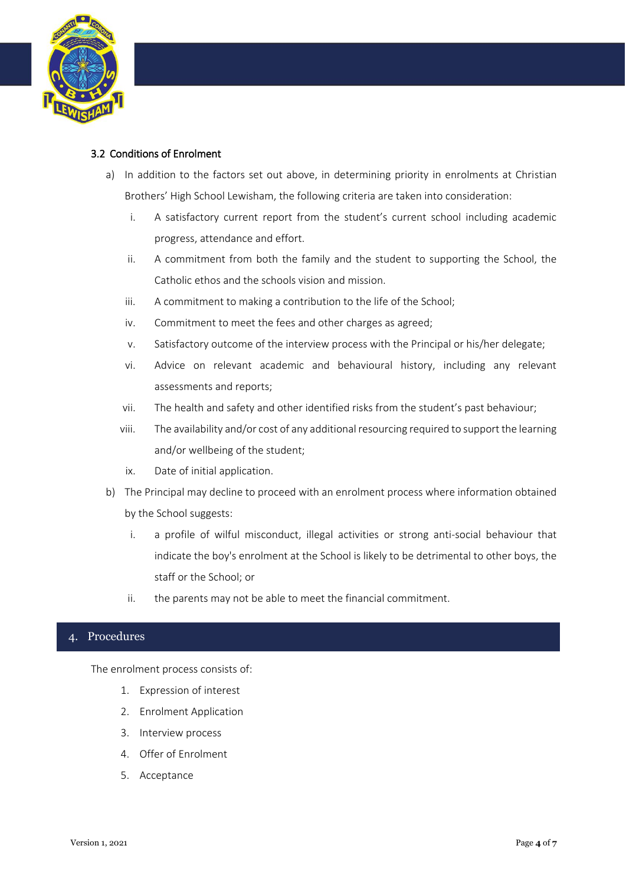

# 3.2 Conditions of Enrolment

- a) In addition to the factors set out above, in determining priority in enrolments at Christian Brothers' High School Lewisham, the following criteria are taken into consideration:
	- i. A satisfactory current report from the student's current school including academic progress, attendance and effort.
	- ii. A commitment from both the family and the student to supporting the School, the Catholic ethos and the schools vision and mission.
	- iii. A commitment to making a contribution to the life of the School;
	- iv. Commitment to meet the fees and other charges as agreed;
	- v. Satisfactory outcome of the interview process with the Principal or his/her delegate;
	- vi. Advice on relevant academic and behavioural history, including any relevant assessments and reports;
	- vii. The health and safety and other identified risks from the student's past behaviour;
	- viii. The availability and/or cost of any additional resourcing required to support the learning and/or wellbeing of the student;
	- ix. Date of initial application.
- b) The Principal may decline to proceed with an enrolment process where information obtained by the School suggests:
	- i. a profile of wilful misconduct, illegal activities or strong anti-social behaviour that indicate the boy's enrolment at the School is likely to be detrimental to other boys, the staff or the School; or
	- ii. the parents may not be able to meet the financial commitment.

# 4. Procedures

The enrolment process consists of:

- 1. Expression of interest
- 2. Enrolment Application
- 3. Interview process
- 4. Offer of Enrolment
- 5. Acceptance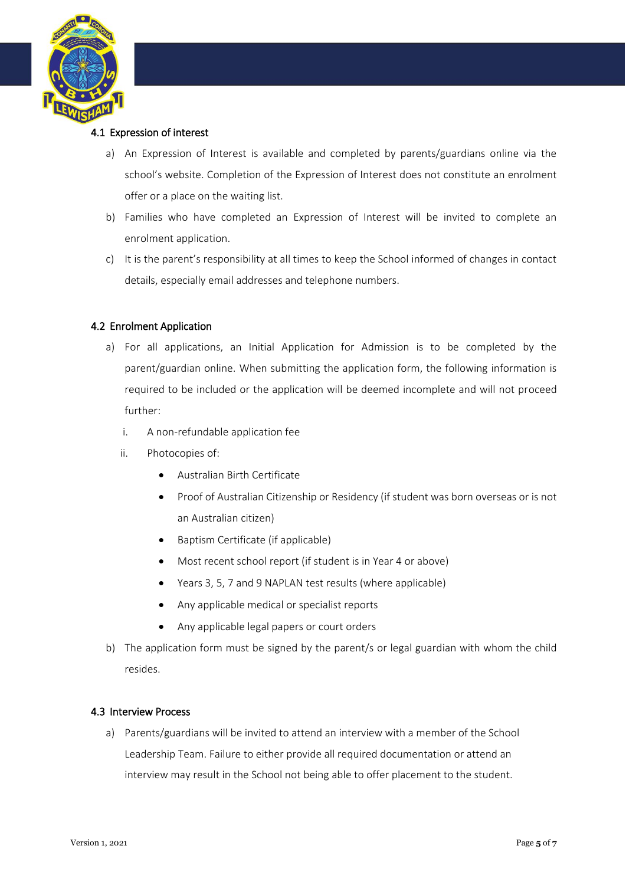

#### 4.1 Expression of interest

- a) An Expression of Interest is available and completed by parents/guardians online via the school's website. Completion of the Expression of Interest does not constitute an enrolment offer or a place on the waiting list.
- b) Families who have completed an Expression of Interest will be invited to complete an enrolment application.
- c) It is the parent's responsibility at all times to keep the School informed of changes in contact details, especially email addresses and telephone numbers.

# 4.2 Enrolment Application

- a) For all applications, an Initial Application for Admission is to be completed by the parent/guardian online. When submitting the application form, the following information is required to be included or the application will be deemed incomplete and will not proceed further:
	- i. A non-refundable application fee
	- ii. Photocopies of:
		- Australian Birth Certificate
		- Proof of Australian Citizenship or Residency (if student was born overseas or is not an Australian citizen)
		- Baptism Certificate (if applicable)
		- Most recent school report (if student is in Year 4 or above)
		- Years 3, 5, 7 and 9 NAPLAN test results (where applicable)
		- Any applicable medical or specialist reports
		- Any applicable legal papers or court orders
- b) The application form must be signed by the parent/s or legal guardian with whom the child resides.

#### 4.3 Interview Process

a) Parents/guardians will be invited to attend an interview with a member of the School Leadership Team. Failure to either provide all required documentation or attend an interview may result in the School not being able to offer placement to the student.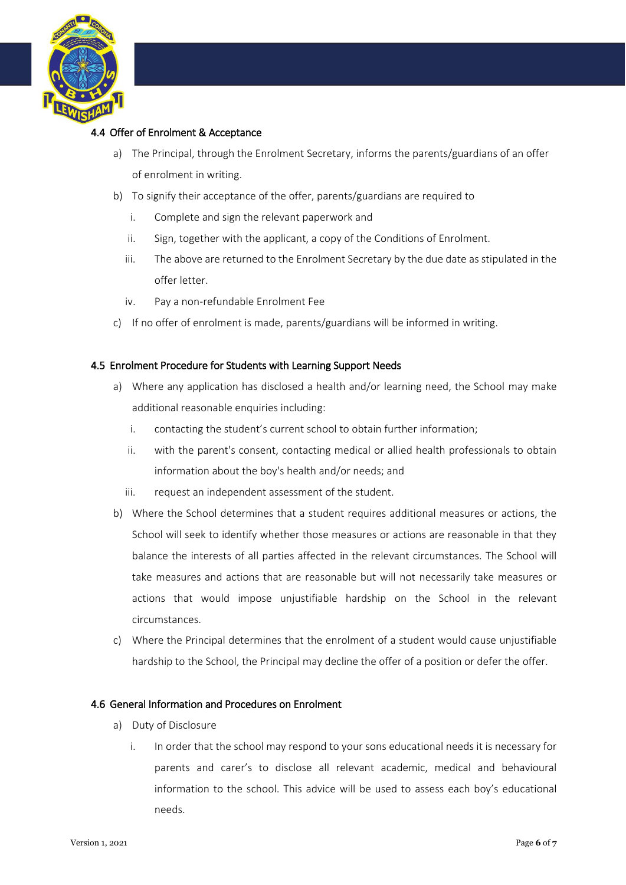

# 4.4 Offer of Enrolment & Acceptance

- a) The Principal, through the Enrolment Secretary, informs the parents/guardians of an offer of enrolment in writing.
- b) To signify their acceptance of the offer, parents/guardians are required to
	- i. Complete and sign the relevant paperwork and
	- ii. Sign, together with the applicant, a copy of the Conditions of Enrolment.
	- iii. The above are returned to the Enrolment Secretary by the due date as stipulated in the offer letter.
	- iv. Pay a non-refundable Enrolment Fee
- c) If no offer of enrolment is made, parents/guardians will be informed in writing.

#### 4.5 Enrolment Procedure for Students with Learning Support Needs

- a) Where any application has disclosed a health and/or learning need, the School may make additional reasonable enquiries including:
	- i. contacting the student's current school to obtain further information;
	- ii. with the parent's consent, contacting medical or allied health professionals to obtain information about the boy's health and/or needs; and
	- iii. request an independent assessment of the student.
- b) Where the School determines that a student requires additional measures or actions, the School will seek to identify whether those measures or actions are reasonable in that they balance the interests of all parties affected in the relevant circumstances. The School will take measures and actions that are reasonable but will not necessarily take measures or actions that would impose unjustifiable hardship on the School in the relevant circumstances.
- c) Where the Principal determines that the enrolment of a student would cause unjustifiable hardship to the School, the Principal may decline the offer of a position or defer the offer.

#### 4.6 General Information and Procedures on Enrolment

- a) Duty of Disclosure
	- i. In order that the school may respond to your sons educational needs it is necessary for parents and carer's to disclose all relevant academic, medical and behavioural information to the school. This advice will be used to assess each boy's educational needs.